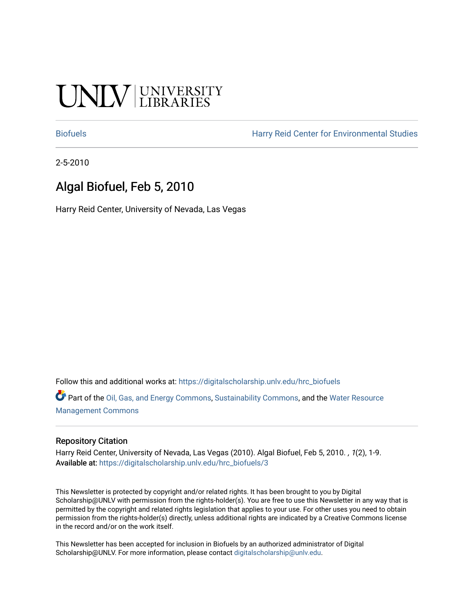# UNIV UNIVERSITY

[Biofuels](https://digitalscholarship.unlv.edu/hrc_biofuels) [Harry Reid Center for Environmental Studies](https://digitalscholarship.unlv.edu/hrc) 

2-5-2010

## Algal Biofuel, Feb 5, 2010

Harry Reid Center, University of Nevada, Las Vegas

Follow this and additional works at: [https://digitalscholarship.unlv.edu/hrc\\_biofuels](https://digitalscholarship.unlv.edu/hrc_biofuels?utm_source=digitalscholarship.unlv.edu%2Fhrc_biofuels%2F3&utm_medium=PDF&utm_campaign=PDFCoverPages) 

Part of the [Oil, Gas, and Energy Commons](http://network.bepress.com/hgg/discipline/171?utm_source=digitalscholarship.unlv.edu%2Fhrc_biofuels%2F3&utm_medium=PDF&utm_campaign=PDFCoverPages), [Sustainability Commons,](http://network.bepress.com/hgg/discipline/1031?utm_source=digitalscholarship.unlv.edu%2Fhrc_biofuels%2F3&utm_medium=PDF&utm_campaign=PDFCoverPages) and the [Water Resource](http://network.bepress.com/hgg/discipline/1057?utm_source=digitalscholarship.unlv.edu%2Fhrc_biofuels%2F3&utm_medium=PDF&utm_campaign=PDFCoverPages)  [Management Commons](http://network.bepress.com/hgg/discipline/1057?utm_source=digitalscholarship.unlv.edu%2Fhrc_biofuels%2F3&utm_medium=PDF&utm_campaign=PDFCoverPages)

#### Repository Citation

Harry Reid Center, University of Nevada, Las Vegas (2010). Algal Biofuel, Feb 5, 2010. , 1(2), 1-9. Available at: [https://digitalscholarship.unlv.edu/hrc\\_biofuels/3](https://digitalscholarship.unlv.edu/hrc_biofuels/3) 

This Newsletter is protected by copyright and/or related rights. It has been brought to you by Digital Scholarship@UNLV with permission from the rights-holder(s). You are free to use this Newsletter in any way that is permitted by the copyright and related rights legislation that applies to your use. For other uses you need to obtain permission from the rights-holder(s) directly, unless additional rights are indicated by a Creative Commons license in the record and/or on the work itself.

This Newsletter has been accepted for inclusion in Biofuels by an authorized administrator of Digital Scholarship@UNLV. For more information, please contact [digitalscholarship@unlv.edu.](mailto:digitalscholarship@unlv.edu)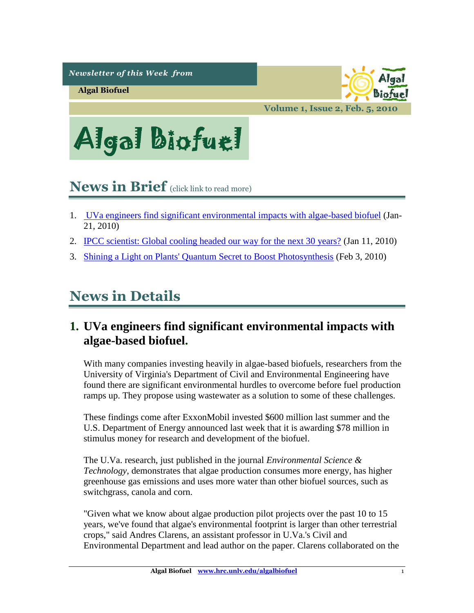*Newsletter of this Week from* 

**Algal Biofuel**



**Volume 1, Issue 2, Feb. 5, 2010**



## <span id="page-1-1"></span>**News in Brief** (click link to read more)

- 1. [UVa engineers find significant environmental impacts with algae-based biofuel](#page-1-0) (Jan-21, 2010)
- 2. [IPCC scientist: Global cooling headed our way for the next 30](#page-3-0) years? (Jan 11, 2010)
- 3. [Shining a Light on Plants' Quantum Secret to Boost Photosynthesis](#page-7-0) (Feb 3, 2010)

# **News in Details**

## <span id="page-1-0"></span>**1. UVa engineers find significant environmental impacts with algae-based biofuel.**

With many companies investing heavily in algae-based biofuels, researchers from the University of Virginia's Department of Civil and Environmental Engineering have found there are significant environmental hurdles to overcome before fuel production ramps up. They propose using wastewater as a solution to some of these challenges.

These findings come after ExxonMobil invested \$600 million last summer and the U.S. Department of Energy announced last week that it is awarding \$78 million in stimulus money for research and development of the biofuel.

The U.Va. research, just published in the journal *Environmental Science & Technology*, demonstrates that algae production consumes more energy, has higher greenhouse gas emissions and uses more water than other biofuel sources, such as switchgrass, canola and corn.

"Given what we know about algae production pilot projects over the past 10 to 15 years, we've found that algae's environmental footprint is larger than other terrestrial crops," said Andres Clarens, an assistant professor in U.Va.'s Civil and Environmental Department and lead author on the paper. Clarens collaborated on the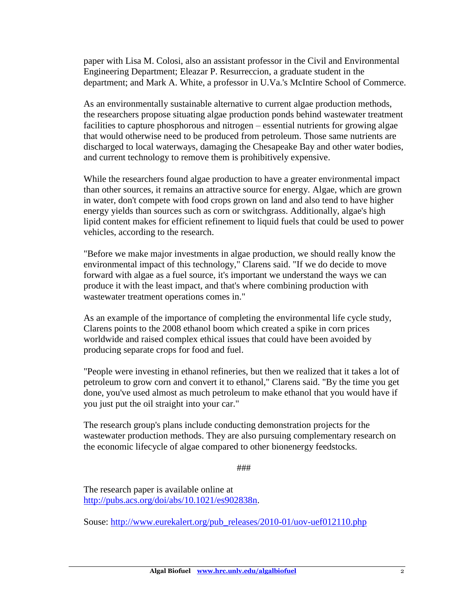paper with Lisa M. Colosi, also an assistant professor in the Civil and Environmental Engineering Department; Eleazar P. Resurreccion, a graduate student in the department; and Mark A. White, a professor in U.Va.'s McIntire School of Commerce.

As an environmentally sustainable alternative to current algae production methods, the researchers propose situating algae production ponds behind wastewater treatment facilities to capture phosphorous and nitrogen – essential nutrients for growing algae that would otherwise need to be produced from petroleum. Those same nutrients are discharged to local waterways, damaging the Chesapeake Bay and other water bodies, and current technology to remove them is prohibitively expensive.

While the researchers found algae production to have a greater environmental impact than other sources, it remains an attractive source for energy. Algae, which are grown in water, don't compete with food crops grown on land and also tend to have higher energy yields than sources such as corn or switchgrass. Additionally, algae's high lipid content makes for efficient refinement to liquid fuels that could be used to power vehicles, according to the research.

"Before we make major investments in algae production, we should really know the environmental impact of this technology," Clarens said. "If we do decide to move forward with algae as a fuel source, it's important we understand the ways we can produce it with the least impact, and that's where combining production with wastewater treatment operations comes in."

As an example of the importance of completing the environmental life cycle study, Clarens points to the 2008 ethanol boom which created a spike in corn prices worldwide and raised complex ethical issues that could have been avoided by producing separate crops for food and fuel.

"People were investing in ethanol refineries, but then we realized that it takes a lot of petroleum to grow corn and convert it to ethanol," Clarens said. "By the time you get done, you've used almost as much petroleum to make ethanol that you would have if you just put the oil straight into your car."

The research group's plans include conducting demonstration projects for the wastewater production methods. They are also pursuing complementary research on the economic lifecycle of algae compared to other bionenergy feedstocks.

###

The research paper is available online at [http://pubs.acs.org/doi/abs/10.1021/es902838n.](http://pubs.acs.org/doi/abs/10.1021/es902838n)

Souse: [http://www.eurekalert.org/pub\\_releases/2010-01/uov-uef012110.php](http://www.eurekalert.org/pub_releases/2010-01/uov-uef012110.php)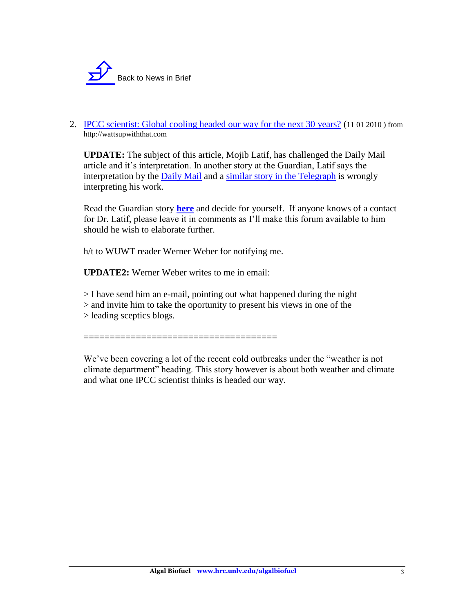

<span id="page-3-0"></span>2. [IPCC scientist: Global cooling headed our way for the next 30](http://wattsupwiththat.com/2010/01/11/ipcc-scientist-global-cooling-headed-our-way-for-the-next-30-years/) years? (11 01 2010 ) from http://wattsupwiththat.com

**UPDATE:** The subject of this article, Mojib Latif, has challenged the Daily Mail article and it's interpretation. In another story at the Guardian, Latif says the interpretation by the [Daily Mail](http://www.dailymail.co.uk/news/article-1242202/Could-30-years-global-COOLING.html) and a [similar story in the Telegraph](http://www.telegraph.co.uk/earth/environment/globalwarming/6965342/Big-freeze-could-signal-global-warming-pause.html) is wrongly interpreting his work.

Read the Guardian story **[here](http://www.guardian.co.uk/environment/2010/jan/11/climate-change-global-warming-mojib-latif)** and decide for yourself. If anyone knows of a contact for Dr. Latif, please leave it in comments as I'll make this forum available to him should he wish to elaborate further.

h/t to WUWT reader Werner Weber for notifying me.

**UPDATE2:** Werner Weber writes to me in email:

> I have send him an e-mail, pointing out what happened during the night > and invite him to take the oportunity to present his views in one of the > leading sceptics blogs.

=====================================

We've been covering a lot of the recent cold outbreaks under the "weather is not climate department" heading. This story however is about both weather and climate and what one IPCC scientist thinks is headed our way.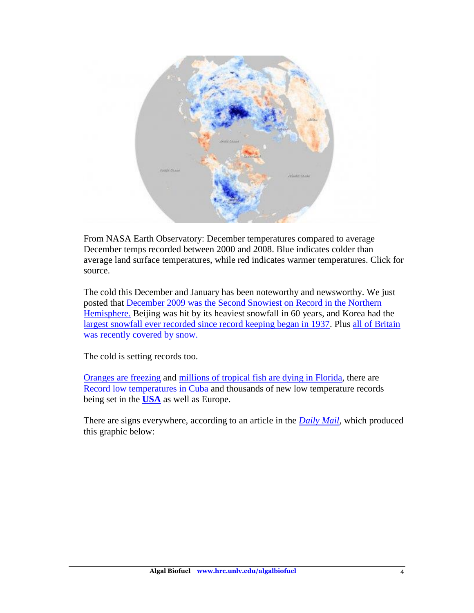

From NASA Earth Observatory: December temperatures compared to average December temps recorded between 2000 and 2008. Blue indicates colder than average land surface temperatures, while red indicates warmer temperatures. Click for source.

The cold this December and January has been noteworthy and newsworthy. We just posted that [December 2009 was the Second Snowiest on Record in the Northern](http://wattsupwiththat.com/2010/01/10/second-snowiest-december-on-record-in-the-northern-hemisphere/)  [Hemisphere.](http://wattsupwiththat.com/2010/01/10/second-snowiest-december-on-record-in-the-northern-hemisphere/) Beijing was hit by its heaviest snowfall in 60 years, and Korea had the [largest snowfall ever recorded since record keeping began in 1937.](http://www.koreaherald.co.kr/NEWKHSITE/data/html_dir/2010/01/05/201001050042.asp) Plus [all of Britain](http://wattsupwiththat.com/2010/01/08/all-of-england-covered-by-snow/)  [was recently covered by](http://wattsupwiththat.com/2010/01/08/all-of-england-covered-by-snow/) snow.

The cold is setting records too.

[Oranges are freezing](http://www.reuters.com/article/idUSN1114830920100111?type=marketsNews) and [millions of tropical fish are dying in Florida,](http://wattsupwiththat.com/2010/01/11/ipcc-scientist-global-cooling-headed-our-way-for-the-next-30-years/Cold%20kills%20100,000%20tropical%20fish%20in%20South%20Florida) there are [Record low temperatures in Cuba](http://www.caribdaily.com/article/244214/record-low-temperatures-recorded-in-several-locations-in-cuba/) and thousands of new low temperature records being set in the **[USA](http://wattsupwiththat.com/2010/01/06/the-frigid-hit-parade-over-1200-new-cold-and-snow-records-set-in-the-last-week-in-the-usa-more-in-progress/)** as well as Europe.

There are signs everywhere, according to an article in the *[Daily Mail](http://www.dailymail.co.uk/sciencetech/article-1242011/DAVID-ROSE-The-mini-ice-age-starts-here.html)*, which produced this graphic below: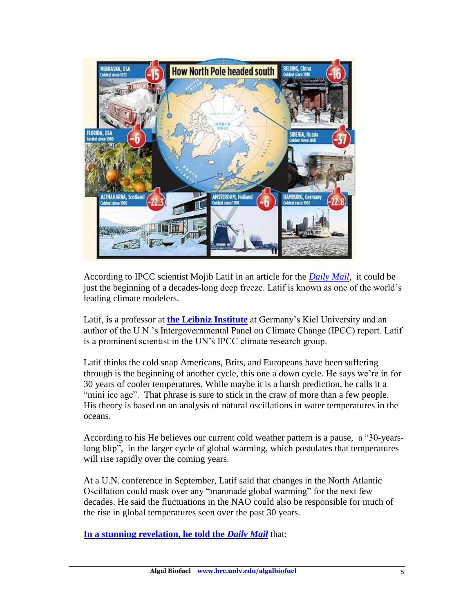

According to IPCC scientist Mojib Latif in an article for the *[Daily Mail](http://www.dailymail.co.uk/news/article-1242202/Could-30-years-global-COOLING.html)*, it could be just the beginning of a decades-long deep freeze. Latif is known as one of the world's leading climate modelers.

Latif, is a professor at **[the Leibniz Institute](http://www.ifm-geomar.de/index.php?id=home&L=1)** at Germany's Kiel University and an author of the U.N.'s Intergovernmental Panel on Climate Change (IPCC) report. Latif is a prominent scientist in the UN's IPCC climate research group.

Latif thinks the cold snap Americans, Brits, and Europeans have been suffering through is the beginning of another cycle, this one a down cycle. He says we're in for 30 years of cooler temperatures. While maybe it is a harsh prediction, he calls it a "mini ice age". That phrase is sure to stick in the craw of more than a few people. His theory is based on an analysis of natural oscillations in water temperatures in the oceans.

According to his He believes our current cold weather pattern is a pause, a "30-yearslong blip", in the larger cycle of global warming, which postulates that temperatures will rise rapidly over the coming years.

At a U.N. conference in September, Latif said that changes in the North Atlantic Oscillation could mask over any "manmade global warming" for the next few decades. He said the fluctuations in the NAO could also be responsible for much of the rise in global temperatures seen over the past 30 years.

**[In a stunning revelation, he told the](http://www.dailymail.co.uk/news/article-1242202/Could-30-years-global-COOLING.html)** *Daily Mail* that: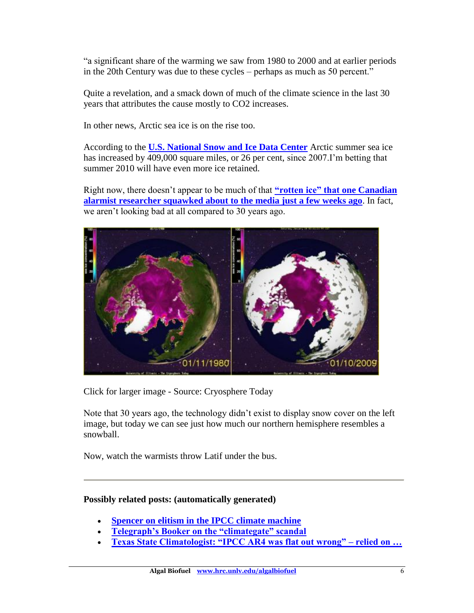"a significant share of the warming we saw from 1980 to 2000 and at earlier periods in the 20th Century was due to these cycles – perhaps as much as 50 percent."

Quite a revelation, and a smack down of much of the climate science in the last 30 years that attributes the cause mostly to CO2 increases.

In other news, Arctic sea ice is on the rise too.

According to the **[U.S. National Snow and Ice Data Center](http://nsidc.org/)** Arctic summer sea ice has increased by 409,000 square miles, or 26 per cent, since 2007.I'm betting that summer 2010 will have even more ice retained.

Right now, there doesn't appear to be much of that **["rotten ice" that](http://wattsupwiththat.com/2009/12/14/a-look-at-sea-ice-compared-to-this-date-in-2007/) one Canadian [alarmist researcher squawked about to the media just a few weeks ago](http://wattsupwiththat.com/2009/12/14/a-look-at-sea-ice-compared-to-this-date-in-2007/)**. In fact, we aren't looking bad at all compared to 30 years ago.



Click for larger image - Source: Cryosphere Today

Note that 30 years ago, the technology didn't exist to display snow cover on the left image, but today we can see just how much our northern hemisphere resembles a snowball.

Now, watch the warmists throw Latif under the bus.

#### **Possibly related posts: (automatically generated)**

- **[Spencer on elitism in the IPCC climate machine](http://www.wattsupwiththat.com/2009/11/21/spencer-on-elitism-in-the-ipcc-climate-machine/)**
- **[Telegraph's Booker on the "climategate" scandal](http://www.wattsupwiththat.com/2009/11/28/telegraphs-booker-on-the-climategate-scandal/)**
- **[Texas State Climatologist: "IPCC AR4 was flat out wrong" –](http://www.wattsupwiththat.com/2009/12/22/texas-state-climatologist-ipcc-ar4-was-flat-out-wrong-relied-on-flawed-wwf-report/) relied on …**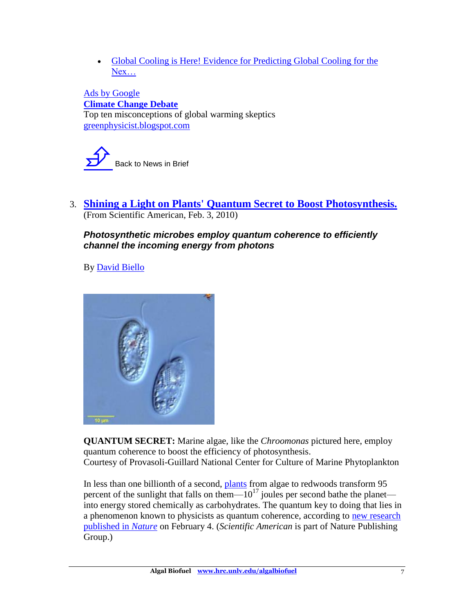[Global Cooling is Here! Evidence for Predicting Global Cooling for the](http://anhonestclimatedebate.wordpress.com/2008/10/31/global-cooling-is-here-evidence-for-predicting-global-cooling-for-the-next-three-decades/)  [Nex…](http://anhonestclimatedebate.wordpress.com/2008/10/31/global-cooling-is-here-evidence-for-predicting-global-cooling-for-the-next-three-decades/)

[Ads by Google](https://www.google.com/adsense/support/bin/request.py?contact=abg_afc&url=http://wattsupwiththat.com/2010/01/11/ipcc-scientist-global-cooling-headed-our-way-for-the-next-30-years/&hl=en&client=ca-pub-3443918307802676&adU=greenphysicist.blogspot.com&adT=Climate+Change+Debate&gl=US) **[Climate Change Debate](s-p:%20Go%20to%20greenphysicist.blogspot.com)** Top ten misconceptions of global warming skeptics [greenphysicist.blogspot.com](s-p:%20Go%20to%20greenphysicist.blogspot.com)

Back to News in Brief

<span id="page-7-0"></span>3. **[Shining a Light on Plants' Quantum Secret to Boost Photosynthesis.](http://www.scientificamerican.com/article.cfm?id=shining-a-light-on-plants-quantum-secret)** (From Scientific American, Feb. 3, 2010)

### *Photosynthetic microbes employ quantum coherence to efficiently channel the incoming energy from photons*

By [David Biello](http://www.scientificamerican.com/author.cfm?id=1013)



**QUANTUM SECRET:** Marine algae, like the *Chroomonas* pictured here, employ quantum coherence to boost the efficiency of photosynthesis. Courtesy of Provasoli-Guillard National Center for Culture of Marine Phytoplankton

In less than one billionth of a second, [plants](http://www.scientificamerican.com/topic.cfm?id=plants) from algae to redwoods transform 95 percent of the sunlight that falls on them— $10^{17}$  joules per second bathe the planet into energy stored chemically as carbohydrates. The quantum key to doing that lies in a phenomenon known to physicists as quantum coherence, according to [new research](http://www.nature.com/nature/journal/v463/n7281/abs/nature08811.html)  [published in](http://www.nature.com/nature/journal/v463/n7281/abs/nature08811.html) *Nature* on February 4. (*Scientific American* is part of Nature Publishing Group.)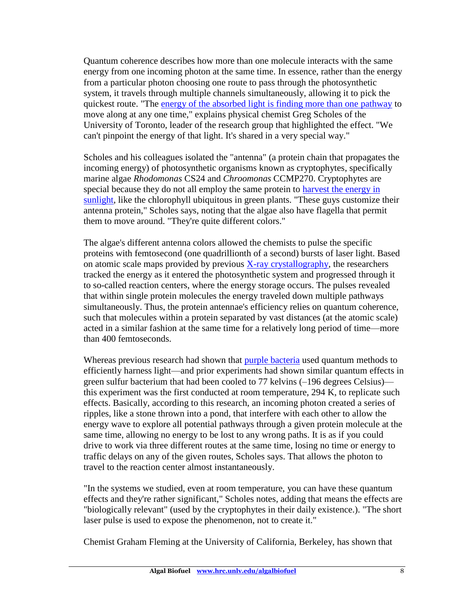Quantum coherence describes how more than one molecule interacts with the same energy from one incoming photon at the same time. In essence, rather than the energy from a particular photon choosing one route to pass through the photosynthetic system, it travels through multiple channels simultaneously, allowing it to pick the quickest route. "The [energy of the absorbed light is finding more than one pathway](http://www.scientificamerican.com/article.cfm?id=when-it-comes-to-photosynthesis-plants-perform-quantum-computation) to move along at any one time," explains physical chemist Greg Scholes of the University of Toronto, leader of the research group that highlighted the effect. "We can't pinpoint the energy of that light. It's shared in a very special way."

Scholes and his colleagues isolated the "antenna" (a protein chain that propagates the incoming energy) of photosynthetic organisms known as cryptophytes, specifically marine algae *Rhodomonas* CS24 and *Chroomonas* CCMP270. Cryptophytes are special because they do not all employ the same protein to [harvest the energy in](http://www.scientificamerican.com/article.cfm?id=timeline-of-photosynthesis-on-earth)  [sunlight,](http://www.scientificamerican.com/article.cfm?id=timeline-of-photosynthesis-on-earth) like the chlorophyll ubiquitous in green plants. "These guys customize their antenna protein," Scholes says, noting that the algae also have flagella that permit them to move around. "They're quite different colors."

The algae's different antenna colors allowed the chemists to pulse the specific proteins with femtosecond (one quadrillionth of a second) bursts of laser light. Based on atomic scale maps provided by previous  $X$ -ray crystallography, the researchers tracked the energy as it entered the photosynthetic system and progressed through it to so-called reaction centers, where the energy storage occurs. The pulses revealed that within single protein molecules the energy traveled down multiple pathways simultaneously. Thus, the protein antennae's efficiency relies on quantum coherence, such that molecules within a protein separated by vast distances (at the atomic scale) acted in a similar fashion at the same time for a relatively long period of time—more than 400 femtoseconds.

Whereas previous research had shown that [purple bacteria](http://www.scientificamerican.com/article.cfm?id=photosynthesiss-purple-ro) used quantum methods to efficiently harness light—and prior experiments had shown similar quantum effects in green sulfur bacterium that had been cooled to 77 kelvins (–196 degrees Celsius) this experiment was the first conducted at room temperature, 294 K, to replicate such effects. Basically, according to this research, an incoming photon created a series of ripples, like a stone thrown into a pond, that interfere with each other to allow the energy wave to explore all potential pathways through a given protein molecule at the same time, allowing no energy to be lost to any wrong paths. It is as if you could drive to work via three different routes at the same time, losing no time or energy to traffic delays on any of the given routes, Scholes says. That allows the photon to travel to the reaction center almost instantaneously.

"In the systems we studied, even at room temperature, you can have these quantum effects and they're rather significant," Scholes notes, adding that means the effects are "biologically relevant" (used by the cryptophytes in their daily existence.). "The short laser pulse is used to expose the phenomenon, not to create it."

Chemist Graham Fleming at the University of California, Berkeley, has shown that